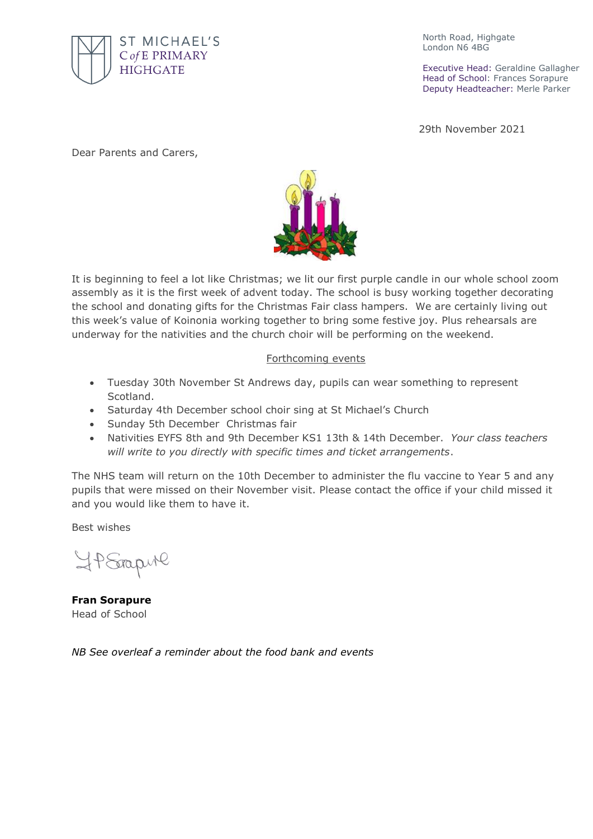

North Road, Highgate London N6 4BG

Executive Head: Geraldine Gallagher Head of School: Frances Sorapure Deputy Headteacher: Merle Parker

29th November 2021

Dear Parents and Carers,



It is beginning to feel a lot like Christmas; we lit our first purple candle in our whole school zoom assembly as it is the first week of advent today. The school is busy working together decorating the school and donating gifts for the Christmas Fair class hampers. We are certainly living out this week's value of Koinonia working together to bring some festive joy. Plus rehearsals are underway for the nativities and the church choir will be performing on the weekend.

## Forthcoming events

- Tuesday 30th November St Andrews day, pupils can wear something to represent Scotland.
- Saturday 4th December school choir sing at St Michael's Church
- Sunday 5th December Christmas fair
- Nativities EYFS 8th and 9th December KS1 13th & 14th December. *Your class teachers will write to you directly with specific times and ticket arrangements*.

The NHS team will return on the 10th December to administer the flu vaccine to Year 5 and any pupils that were missed on their November visit. Please contact the office if your child missed it and you would like them to have it.

Best wishes

HP Stapul

**Fran Sorapure** Head of School

*NB See overleaf a reminder about the food bank and events*